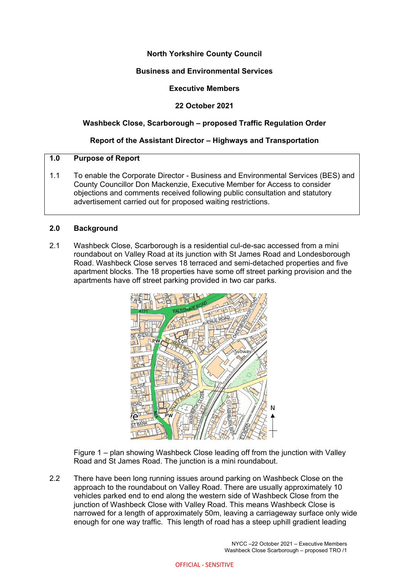## **North Yorkshire County Council**

## **Business and Environmental Services**

## **Executive Members**

## **22 October 2021**

## **Washbeck Close, Scarborough – proposed Traffic Regulation Order**

## **Report of the Assistant Director – Highways and Transportation**

## **1.0 Purpose of Report**

1.1 To enable the Corporate Director - Business and Environmental Services (BES) and County Councillor Don Mackenzie, Executive Member for Access to consider objections and comments received following public consultation and statutory advertisement carried out for proposed waiting restrictions.

## **2.0 Background**

2.1 Washbeck Close, Scarborough is a residential cul-de-sac accessed from a mini roundabout on Valley Road at its junction with St James Road and Londesborough Road. Washbeck Close serves 18 terraced and semi-detached properties and five apartment blocks. The 18 properties have some off street parking provision and the apartments have off street parking provided in two car parks.



Figure 1 – plan showing Washbeck Close leading off from the junction with Valley Road and St James Road. The junction is a mini roundabout.

2.2 There have been long running issues around parking on Washbeck Close on the approach to the roundabout on Valley Road. There are usually approximately 10 vehicles parked end to end along the western side of Washbeck Close from the junction of Washbeck Close with Valley Road. This means Washbeck Close is narrowed for a length of approximately 50m, leaving a carriageway surface only wide enough for one way traffic. This length of road has a steep uphill gradient leading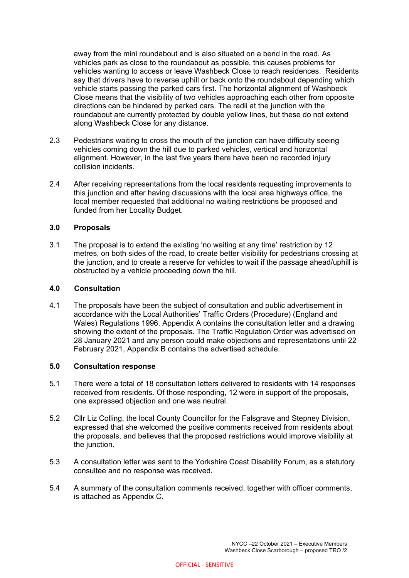away from the mini roundabout and is also situated on a bend in the road. As vehicles park as close to the roundabout as possible, this causes problems for vehicles wanting to access or leave Washbeck Close to reach residences. Residents say that drivers have to reverse uphill or back onto the roundabout depending which vehicle starts passing the parked cars first. The horizontal alignment of Washbeck Close means that the visibility of two vehicles approaching each other from opposite directions can be hindered by parked cars. The radii at the junction with the roundabout are currently protected by double yellow lines, but these do not extend along Washbeck Close for any distance.

- 2.3 Pedestrians waiting to cross the mouth of the junction can have difficulty seeing vehicles coming down the hill due to parked vehicles, vertical and horizontal alignment. However, in the last five years there have been no recorded injury collision incidents.
- 2.4 After receiving representations from the local residents requesting improvements to this junction and after having discussions with the local area highways office, the local member requested that additional no waiting restrictions be proposed and funded from her Locality Budget.

#### **3.0 Proposals**

3.1 The proposal is to extend the existing 'no waiting at any time' restriction by 12 metres, on both sides of the road, to create better visibility for pedestrians crossing at the junction, and to create a reserve for vehicles to wait if the passage ahead/uphill is obstructed by a vehicle proceeding down the hill.

#### **4.0 Consultation**

4.1 The proposals have been the subject of consultation and public advertisement in accordance with the Local Authorities' Traffic Orders (Procedure) (England and Wales) Regulations 1996. Appendix A contains the consultation letter and a drawing showing the extent of the proposals. The Traffic Regulation Order was advertised on 28 January 2021 and any person could make objections and representations until 22 February 2021, Appendix B contains the advertised schedule.

#### **5.0 Consultation response**

- 5.1 There were a total of 18 consultation letters delivered to residents with 14 responses received from residents. Of those responding, 12 were in support of the proposals, one expressed objection and one was neutral.
- 5.2 Cllr Liz Colling, the local County Councillor for the Falsgrave and Stepney Division, expressed that she welcomed the positive comments received from residents about the proposals, and believes that the proposed restrictions would improve visibility at the junction.
- 5.3 A consultation letter was sent to the Yorkshire Coast Disability Forum, as a statutory consultee and no response was received.
- 5.4 A summary of the consultation comments received, together with officer comments, is attached as Appendix C.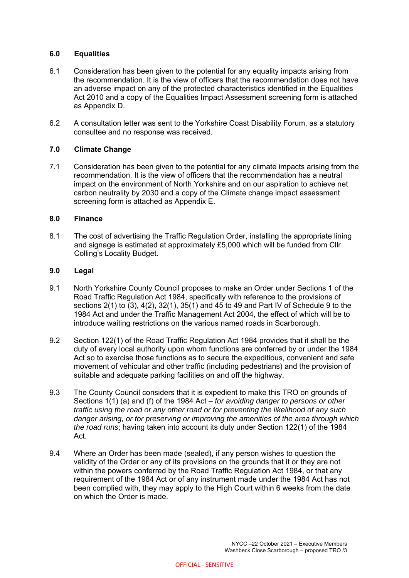### **6.0 Equalities**

- 6.1 Consideration has been given to the potential for any equality impacts arising from the recommendation. It is the view of officers that the recommendation does not have an adverse impact on any of the protected characteristics identified in the Equalities Act 2010 and a copy of the Equalities Impact Assessment screening form is attached as Appendix D.
- 6.2 A consultation letter was sent to the Yorkshire Coast Disability Forum, as a statutory consultee and no response was received.

## **7.0 Climate Change**

7.1 Consideration has been given to the potential for any climate impacts arising from the recommendation. It is the view of officers that the recommendation has a neutral impact on the environment of North Yorkshire and on our aspiration to achieve net carbon neutrality by 2030 and a copy of the Climate change impact assessment screening form is attached as Appendix E.

#### **8.0 Finance**

8.1 The cost of advertising the Traffic Regulation Order, installing the appropriate lining and signage is estimated at approximately £5,000 which will be funded from Cllr Colling's Locality Budget.

#### **9.0 Legal**

- 9.1 North Yorkshire County Council proposes to make an Order under Sections 1 of the Road Traffic Regulation Act 1984, specifically with reference to the provisions of sections 2(1) to (3), 4(2), 32(1), 35(1) and 45 to 49 and Part IV of Schedule 9 to the 1984 Act and under the Traffic Management Act 2004, the effect of which will be to introduce waiting restrictions on the various named roads in Scarborough.
- 9.2 Section 122(1) of the Road Traffic Regulation Act 1984 provides that it shall be the duty of every local authority upon whom functions are conferred by or under the 1984 Act so to exercise those functions as to secure the expeditious, convenient and safe movement of vehicular and other traffic (including pedestrians) and the provision of suitable and adequate parking facilities on and off the highway.
- 9.3 The County Council considers that it is expedient to make this TRO on grounds of Sections 1(1) (a) and (f) of the 1984 Act – *for avoiding danger to persons or other traffic using the road or any other road or for preventing the likelihood of any such danger arising, or for preserving or improving the amenities of the area through which the road runs*; having taken into account its duty under Section 122(1) of the 1984 Act.
- 9.4 Where an Order has been made (sealed), if any person wishes to question the validity of the Order or any of its provisions on the grounds that it or they are not within the powers conferred by the Road Traffic Regulation Act 1984, or that any requirement of the 1984 Act or of any instrument made under the 1984 Act has not been complied with, they may apply to the High Court within 6 weeks from the date on which the Order is made.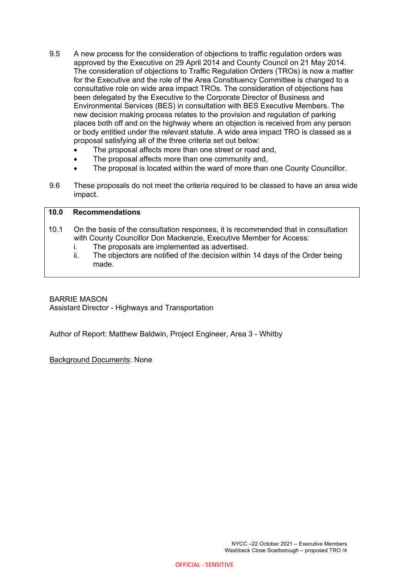- 9.5 A new process for the consideration of objections to traffic regulation orders was approved by the Executive on 29 April 2014 and County Council on 21 May 2014. The consideration of objections to Traffic Regulation Orders (TROs) is now a matter for the Executive and the role of the Area Constituency Committee is changed to a consultative role on wide area impact TROs. The consideration of objections has been delegated by the Executive to the Corporate Director of Business and Environmental Services (BES) in consultation with BES Executive Members. The new decision making process relates to the provision and regulation of parking places both off and on the highway where an objection is received from any person or body entitled under the relevant statute. A wide area impact TRO is classed as a proposal satisfying all of the three criteria set out below:
	- The proposal affects more than one street or road and,
	- The proposal affects more than one community and,
	- The proposal is located within the ward of more than one County Councillor.
- 9.6 These proposals do not meet the criteria required to be classed to have an area wide impact.

## **10.0 Recommendations**

- 10.1 On the basis of the consultation responses, it is recommended that in consultation with County Councillor Don Mackenzie, Executive Member for Access:
	- i. The proposals are implemented as advertised.
	- ii. The objectors are notified of the decision within 14 days of the Order being made.

## BARRIE MASON

Assistant Director - Highways and Transportation

Author of Report: Matthew Baldwin, Project Engineer, Area 3 - Whitby

Background Documents: None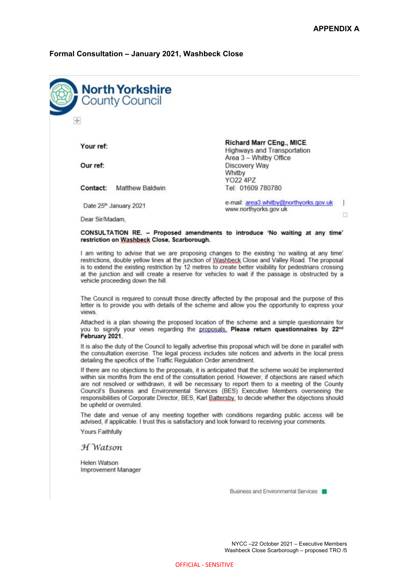# **Formal Consultation – January 2021, Washbeck Close**

| $\div$           |                                                                                                    |                                                                                                                                                                                                                                                                                                                                                                                                                                                                                                                                                                                                                                                                                                                                                                                                                                                                                                                                                                                                                                                                                                                             |
|------------------|----------------------------------------------------------------------------------------------------|-----------------------------------------------------------------------------------------------------------------------------------------------------------------------------------------------------------------------------------------------------------------------------------------------------------------------------------------------------------------------------------------------------------------------------------------------------------------------------------------------------------------------------------------------------------------------------------------------------------------------------------------------------------------------------------------------------------------------------------------------------------------------------------------------------------------------------------------------------------------------------------------------------------------------------------------------------------------------------------------------------------------------------------------------------------------------------------------------------------------------------|
| Your ref:        |                                                                                                    | <b>Richard Marr CEng., MICE.</b><br><b>Highways and Transportation</b>                                                                                                                                                                                                                                                                                                                                                                                                                                                                                                                                                                                                                                                                                                                                                                                                                                                                                                                                                                                                                                                      |
| Our ref:         |                                                                                                    | Area 3 - Whitby Office<br>Discovery Way<br>Whitby                                                                                                                                                                                                                                                                                                                                                                                                                                                                                                                                                                                                                                                                                                                                                                                                                                                                                                                                                                                                                                                                           |
| Contact:         | <b>Matthew Baldwin</b>                                                                             | YO22 4PZ<br>Tel: 01609 780780                                                                                                                                                                                                                                                                                                                                                                                                                                                                                                                                                                                                                                                                                                                                                                                                                                                                                                                                                                                                                                                                                               |
|                  | Date 25 <sup>th</sup> January 2021                                                                 | e-mail: area3.whitby@northyorks.gov.uk<br>www.northyorks.gov.uk                                                                                                                                                                                                                                                                                                                                                                                                                                                                                                                                                                                                                                                                                                                                                                                                                                                                                                                                                                                                                                                             |
| Dear Sir/Madam,  |                                                                                                    |                                                                                                                                                                                                                                                                                                                                                                                                                                                                                                                                                                                                                                                                                                                                                                                                                                                                                                                                                                                                                                                                                                                             |
|                  | restriction on Washbeck Close, Scarborough.                                                        | CONSULTATION RE. - Proposed amendments to introduce 'No waiting at any time'                                                                                                                                                                                                                                                                                                                                                                                                                                                                                                                                                                                                                                                                                                                                                                                                                                                                                                                                                                                                                                                |
|                  | vehicle proceeding down the hill.                                                                  | I am writing to advise that we are proposing changes to the existing 'no waiting at any time'<br>restrictions, double yellow lines at the junction of Washbeck Close and Valley Road. The proposal<br>is to extend the existing restriction by 12 metres to create better visibility for pedestrians crossing<br>at the junction and will create a reserve for vehicles to wait if the passage is obstructed by a                                                                                                                                                                                                                                                                                                                                                                                                                                                                                                                                                                                                                                                                                                           |
|                  | The Council is required to consult those directly affected by the proposal and the purpose of this |                                                                                                                                                                                                                                                                                                                                                                                                                                                                                                                                                                                                                                                                                                                                                                                                                                                                                                                                                                                                                                                                                                                             |
| views.           |                                                                                                    |                                                                                                                                                                                                                                                                                                                                                                                                                                                                                                                                                                                                                                                                                                                                                                                                                                                                                                                                                                                                                                                                                                                             |
| February 2021.   |                                                                                                    |                                                                                                                                                                                                                                                                                                                                                                                                                                                                                                                                                                                                                                                                                                                                                                                                                                                                                                                                                                                                                                                                                                                             |
|                  | detailing the specifics of the Traffic Regulation Order amendment.                                 |                                                                                                                                                                                                                                                                                                                                                                                                                                                                                                                                                                                                                                                                                                                                                                                                                                                                                                                                                                                                                                                                                                                             |
|                  | be upheld or overruled.                                                                            |                                                                                                                                                                                                                                                                                                                                                                                                                                                                                                                                                                                                                                                                                                                                                                                                                                                                                                                                                                                                                                                                                                                             |
|                  |                                                                                                    | advised, if applicable. I trust this is satisfactory and look forward to receiving your comments.                                                                                                                                                                                                                                                                                                                                                                                                                                                                                                                                                                                                                                                                                                                                                                                                                                                                                                                                                                                                                           |
| Yours Faithfully |                                                                                                    | letter is to provide you with details of the scheme and allow you the opportunity to express your<br>Attached is a plan showing the proposed location of the scheme and a simple questionnaire for<br>you to signify your views regarding the proposals. Please return questionnaires by 22nd<br>It is also the duty of the Council to legally advertise this proposal which will be done in parallel with<br>the consultation exercise. The legal process includes site notices and adverts in the local press<br>If there are no objections to the proposals, it is anticipated that the scheme would be implemented<br>within six months from the end of the consultation period. However, if objections are raised which<br>are not resolved or withdrawn, it will be necessary to report them to a meeting of the County<br>Council's Business and Environmental Services (BES) Executive Members overseeing the<br>responsibilities of Corporate Director, BES, Karl Battersby, to decide whether the objections should<br>The date and venue of any meeting together with conditions regarding public access will be |
| H Watson         |                                                                                                    |                                                                                                                                                                                                                                                                                                                                                                                                                                                                                                                                                                                                                                                                                                                                                                                                                                                                                                                                                                                                                                                                                                                             |
| Helen Watson     | Improvement Manager                                                                                |                                                                                                                                                                                                                                                                                                                                                                                                                                                                                                                                                                                                                                                                                                                                                                                                                                                                                                                                                                                                                                                                                                                             |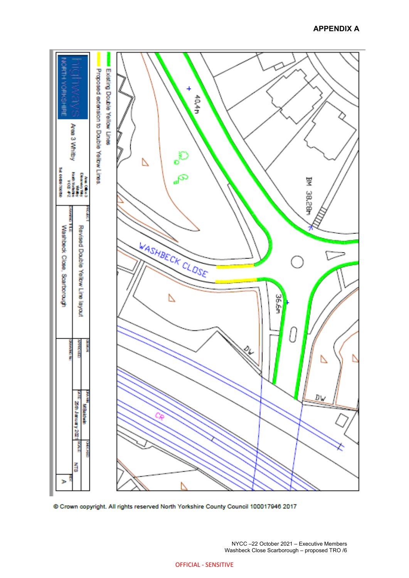

© Crown copyright. All rights reserved North Yorkshire County Council 100017946 2017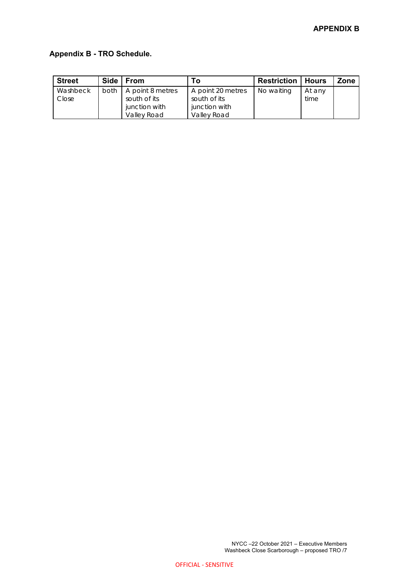## **Appendix B - TRO Schedule.**

| <b>Street</b> | Side   From                        | Гο                | <b>Restriction   Hours</b> |        | Zone |
|---------------|------------------------------------|-------------------|----------------------------|--------|------|
| Washbeck      | both $\overline{A}$ point 8 metres | A point 20 metres | No waiting                 | At any |      |
| Close         | south of its                       | south of its      |                            | time   |      |
|               | junction with                      | junction with     |                            |        |      |
|               | Valley Road                        | Valley Road       |                            |        |      |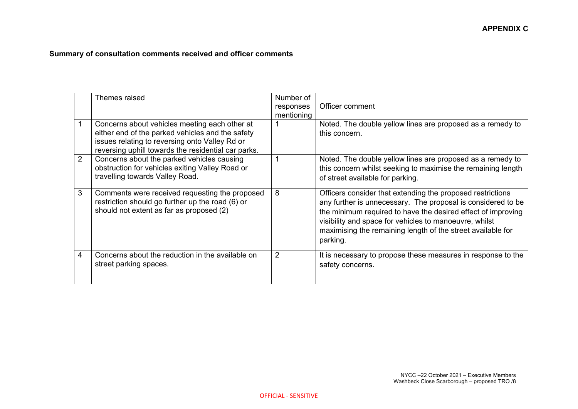# **Summary of consultation comments received and officer comments**

|                | Themes raised                                                                                                                                                                                              | Number of<br>responses<br>mentioning | Officer comment                                                                                                                                                                                                                                                                                                                 |
|----------------|------------------------------------------------------------------------------------------------------------------------------------------------------------------------------------------------------------|--------------------------------------|---------------------------------------------------------------------------------------------------------------------------------------------------------------------------------------------------------------------------------------------------------------------------------------------------------------------------------|
|                | Concerns about vehicles meeting each other at<br>either end of the parked vehicles and the safety<br>issues relating to reversing onto Valley Rd or<br>reversing uphill towards the residential car parks. |                                      | Noted. The double yellow lines are proposed as a remedy to<br>this concern.                                                                                                                                                                                                                                                     |
| $\overline{2}$ | Concerns about the parked vehicles causing<br>obstruction for vehicles exiting Valley Road or<br>travelling towards Valley Road.                                                                           |                                      | Noted. The double yellow lines are proposed as a remedy to<br>this concern whilst seeking to maximise the remaining length<br>of street available for parking.                                                                                                                                                                  |
| 3              | Comments were received requesting the proposed<br>restriction should go further up the road (6) or<br>should not extent as far as proposed (2)                                                             | 8                                    | Officers consider that extending the proposed restrictions<br>any further is unnecessary. The proposal is considered to be<br>the minimum required to have the desired effect of improving<br>visibility and space for vehicles to manoeuvre, whilst<br>maximising the remaining length of the street available for<br>parking. |
| 4              | Concerns about the reduction in the available on<br>street parking spaces.                                                                                                                                 | $\overline{2}$                       | It is necessary to propose these measures in response to the<br>safety concerns.                                                                                                                                                                                                                                                |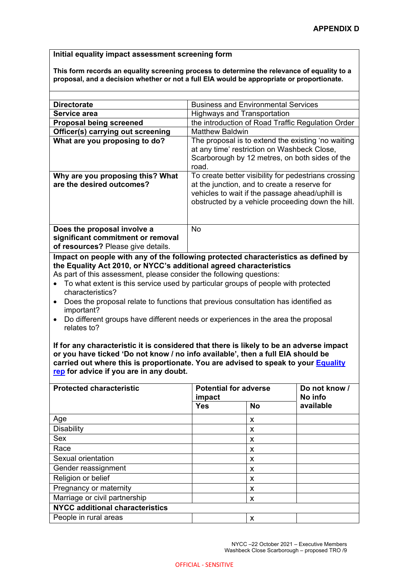#### **Initial equality impact assessment screening form**

**This form records an equality screening process to determine the relevance of equality to a proposal, and a decision whether or not a full EIA would be appropriate or proportionate.** 

| <b>Directorate</b>                                                                                                                                                                                       | <b>Business and Environmental Services</b>                                                                                                                                                                                                                                                                                                        |
|----------------------------------------------------------------------------------------------------------------------------------------------------------------------------------------------------------|---------------------------------------------------------------------------------------------------------------------------------------------------------------------------------------------------------------------------------------------------------------------------------------------------------------------------------------------------|
| Service area                                                                                                                                                                                             | <b>Highways and Transportation</b>                                                                                                                                                                                                                                                                                                                |
| <b>Proposal being screened</b>                                                                                                                                                                           | the introduction of Road Traffic Regulation Order                                                                                                                                                                                                                                                                                                 |
| Officer(s) carrying out screening                                                                                                                                                                        | <b>Matthew Baldwin</b>                                                                                                                                                                                                                                                                                                                            |
| What are you proposing to do?                                                                                                                                                                            | The proposal is to extend the existing 'no waiting<br>at any time' restriction on Washbeck Close,<br>Scarborough by 12 metres, on both sides of the<br>road.                                                                                                                                                                                      |
| Why are you proposing this? What<br>are the desired outcomes?                                                                                                                                            | To create better visibility for pedestrians crossing<br>at the junction, and to create a reserve for<br>vehicles to wait if the passage ahead/uphill is<br>obstructed by a vehicle proceeding down the hill.                                                                                                                                      |
| Does the proposal involve a<br>significant commitment or removal<br>of resources? Please give details.                                                                                                   | <b>No</b>                                                                                                                                                                                                                                                                                                                                         |
| the Equality Act 2010, or NYCC's additional agreed characteristics<br>As part of this assessment, please consider the following questions:<br>characteristics?<br>$\bullet$<br>important?<br>relates to? | Impact on people with any of the following protected characteristics as defined by<br>To what extent is this service used by particular groups of people with protected<br>Does the proposal relate to functions that previous consultation has identified as<br>Do different groups have different needs or experiences in the area the proposal |

**If for any characteristic it is considered that there is likely to be an adverse impact or you have ticked 'Do not know / no info available', then a full EIA should be carried out where this is proportionate. You are advised to speak to your Equality rep for advice if you are in any doubt.** 

| <b>Protected characteristic</b>        | impact     | <b>Potential for adverse</b> | Do not know /<br>No info |  |  |
|----------------------------------------|------------|------------------------------|--------------------------|--|--|
|                                        | <b>Yes</b> | <b>No</b>                    | available                |  |  |
| Age                                    |            | X                            |                          |  |  |
| <b>Disability</b>                      |            | X                            |                          |  |  |
| Sex                                    |            | X                            |                          |  |  |
| Race                                   |            | X                            |                          |  |  |
| Sexual orientation                     |            | X                            |                          |  |  |
| Gender reassignment                    |            | X                            |                          |  |  |
| Religion or belief                     |            | X                            |                          |  |  |
| Pregnancy or maternity                 |            | X                            |                          |  |  |
| Marriage or civil partnership          |            | X                            |                          |  |  |
| <b>NYCC additional characteristics</b> |            |                              |                          |  |  |
| People in rural areas                  |            | X                            |                          |  |  |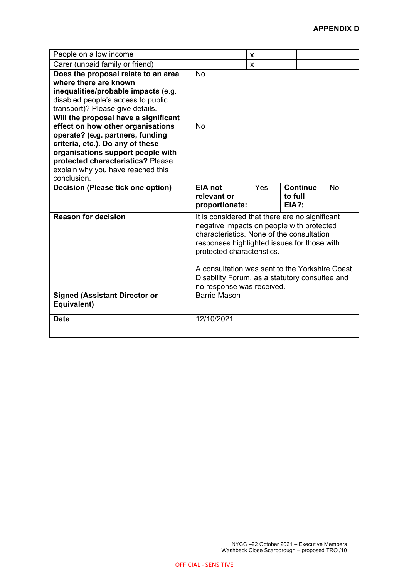| People on a low income                                                                                                                                                                                                                                                          |                                                                                                                                                                                                                                                                                                                                                        | X   |                                            |    |
|---------------------------------------------------------------------------------------------------------------------------------------------------------------------------------------------------------------------------------------------------------------------------------|--------------------------------------------------------------------------------------------------------------------------------------------------------------------------------------------------------------------------------------------------------------------------------------------------------------------------------------------------------|-----|--------------------------------------------|----|
| Carer (unpaid family or friend)                                                                                                                                                                                                                                                 |                                                                                                                                                                                                                                                                                                                                                        | X   |                                            |    |
| Does the proposal relate to an area<br>where there are known<br>inequalities/probable impacts (e.g.<br>disabled people's access to public<br>transport)? Please give details.                                                                                                   | No                                                                                                                                                                                                                                                                                                                                                     |     |                                            |    |
| Will the proposal have a significant<br>effect on how other organisations<br>operate? (e.g. partners, funding<br>criteria, etc.). Do any of these<br>organisations support people with<br>protected characteristics? Please<br>explain why you have reached this<br>conclusion. | No                                                                                                                                                                                                                                                                                                                                                     |     |                                            |    |
| <b>Decision (Please tick one option)</b>                                                                                                                                                                                                                                        | <b>EIA</b> not<br>relevant or<br>proportionate:                                                                                                                                                                                                                                                                                                        | Yes | <b>Continue</b><br>to full<br><b>EIA?;</b> | No |
| <b>Reason for decision</b>                                                                                                                                                                                                                                                      | It is considered that there are no significant<br>negative impacts on people with protected<br>characteristics. None of the consultation<br>responses highlighted issues for those with<br>protected characteristics.<br>A consultation was sent to the Yorkshire Coast<br>Disability Forum, as a statutory consultee and<br>no response was received. |     |                                            |    |
| <b>Signed (Assistant Director or</b><br>Equivalent)                                                                                                                                                                                                                             | <b>Barrie Mason</b>                                                                                                                                                                                                                                                                                                                                    |     |                                            |    |
| <b>Date</b>                                                                                                                                                                                                                                                                     | 12/10/2021                                                                                                                                                                                                                                                                                                                                             |     |                                            |    |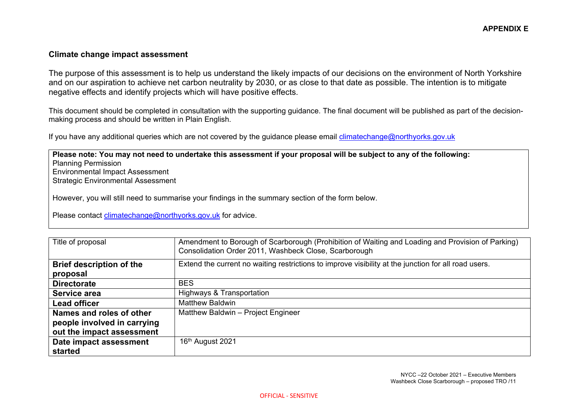### **Climate change impact assessment**

The purpose of this assessment is to help us understand the likely impacts of our decisions on the environment of North Yorkshire and on our aspiration to achieve net carbon neutrality by 2030, or as close to that date as possible. The intention is to mitigate negative effects and identify projects which will have positive effects.

This document should be completed in consultation with the supporting guidance. The final document will be published as part of the decisionmaking process and should be written in Plain English.

If you have any additional queries which are not covered by the guidance please email climatechange@northyorks.gov.uk

**Please note: You may not need to undertake this assessment if your proposal will be subject to any of the following:**  Planning Permission Environmental Impact Assessment Strategic Environmental Assessment

However, you will still need to summarise your findings in the summary section of the form below.

Please contact climatechange@northyorks.gov.uk for advice.

| Title of proposal               | Amendment to Borough of Scarborough (Prohibition of Waiting and Loading and Provision of Parking)<br>Consolidation Order 2011, Washbeck Close, Scarborough |
|---------------------------------|------------------------------------------------------------------------------------------------------------------------------------------------------------|
| <b>Brief description of the</b> | Extend the current no waiting restrictions to improve visibility at the junction for all road users.                                                       |
| proposal                        |                                                                                                                                                            |
| <b>Directorate</b>              | <b>BES</b>                                                                                                                                                 |
| Service area                    | Highways & Transportation                                                                                                                                  |
| <b>Lead officer</b>             | <b>Matthew Baldwin</b>                                                                                                                                     |
| Names and roles of other        | Matthew Baldwin - Project Engineer                                                                                                                         |
| people involved in carrying     |                                                                                                                                                            |
| out the impact assessment       |                                                                                                                                                            |
| Date impact assessment          | 16th August 2021                                                                                                                                           |
| started                         |                                                                                                                                                            |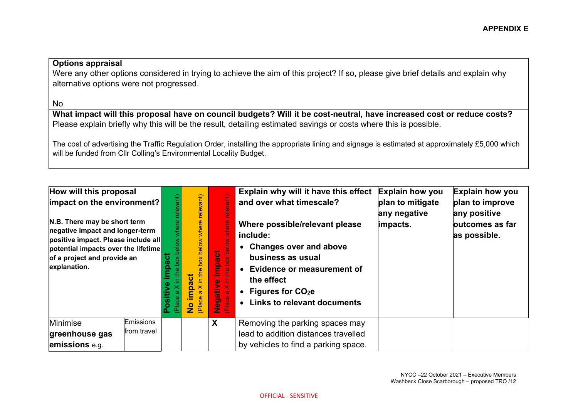## **Options appraisal**

Were any other options considered in trying to achieve the aim of this project? If so, please give brief details and explain why alternative options were not progressed.

No

**What impact will this proposal have on council budgets? Will it be cost-neutral, have increased cost or reduce costs?**  Please explain briefly why this will be the result, detailing estimated savings or costs where this is possible.

The cost of advertising the Traffic Regulation Order, installing the appropriate lining and signage is estimated at approximately £5,000 which will be funded from Cllr Colling's Environmental Locality Budget.

| How will this proposal<br> impact on the environment? <br>N.B. There may be short term<br>negative impact and longer-term<br>positive impact. Please include all<br>potential impacts over the lifetime<br>of a project and provide an<br>explanation. |                          | $\delta$<br>م<br>eq<br>ela) | relevant)<br>box below where<br>impact<br>(Place<br>$\overline{\mathbf{z}}$ | <u>(Tuey</u><br>$rac{e}{e}$<br>below <sup>-</sup><br>impact<br>$\delta$<br>Ó<br>e<br>C<br>$\equiv$<br>Negative<br>Place a X in<br>X <sub>a</sub><br>ace | Explain why will it have this effect<br>and over what timescale?<br>Where possible/relevant please<br>include:<br>• Changes over and above<br>business as usual<br>• Evidence or measurement of<br>the effect<br>• Figures for $CO2e$<br>• Links to relevant documents | <b>Explain how you</b><br>plan to mitigate<br>any negative<br>impacts. | Explain how you<br>plan to improve<br>any positive<br>outcomes as far<br>as possible. |
|--------------------------------------------------------------------------------------------------------------------------------------------------------------------------------------------------------------------------------------------------------|--------------------------|-----------------------------|-----------------------------------------------------------------------------|---------------------------------------------------------------------------------------------------------------------------------------------------------|------------------------------------------------------------------------------------------------------------------------------------------------------------------------------------------------------------------------------------------------------------------------|------------------------------------------------------------------------|---------------------------------------------------------------------------------------|
| Minimise                                                                                                                                                                                                                                               | Emissions<br>from travel |                             |                                                                             | X                                                                                                                                                       | Removing the parking spaces may                                                                                                                                                                                                                                        |                                                                        |                                                                                       |
| greenhouse gas                                                                                                                                                                                                                                         |                          |                             |                                                                             |                                                                                                                                                         | lead to addition distances travelled                                                                                                                                                                                                                                   |                                                                        |                                                                                       |
| emissions e.g.                                                                                                                                                                                                                                         |                          |                             |                                                                             |                                                                                                                                                         | by vehicles to find a parking space.                                                                                                                                                                                                                                   |                                                                        |                                                                                       |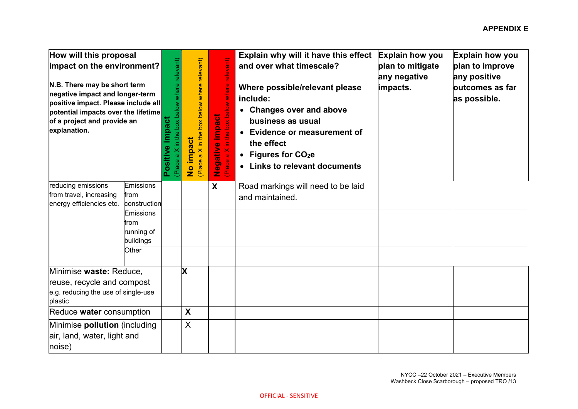| How will this proposal<br>impact on the environment?<br>N.B. There may be short term<br>negative impact and longer-term<br>positive impact. Please include all<br>potential impacts over the lifetime<br>of a project and provide an<br>explanation. |                         | a X in the box below where relevant)<br>impact<br>Positive<br>(Place a | in the box below where relevant)<br><b>No impact</b><br>Place a X in the | relevant)<br>when<br>the box below<br>Negative impact<br>$\equiv$<br>$\frac{X}{B}$<br>(Place | Explain why will it have this effect<br>and over what timescale?<br>Where possible/relevant please<br>include:<br>• Changes over and above<br>business as usual<br>• Evidence or measurement of<br>the effect<br>• Figures for $CO2e$<br>• Links to relevant documents | Explain how you<br>plan to mitigate<br>any negative<br>impacts. | Explain how you<br>plan to improve<br>any positive<br>outcomes as far<br>as possible. |
|------------------------------------------------------------------------------------------------------------------------------------------------------------------------------------------------------------------------------------------------------|-------------------------|------------------------------------------------------------------------|--------------------------------------------------------------------------|----------------------------------------------------------------------------------------------|------------------------------------------------------------------------------------------------------------------------------------------------------------------------------------------------------------------------------------------------------------------------|-----------------------------------------------------------------|---------------------------------------------------------------------------------------|
| reducing emissions                                                                                                                                                                                                                                   | <b>Emissions</b>        |                                                                        |                                                                          | X                                                                                            | Road markings will need to be laid                                                                                                                                                                                                                                     |                                                                 |                                                                                       |
| from travel, increasing<br>energy efficiencies etc.                                                                                                                                                                                                  | from<br>construction    |                                                                        |                                                                          |                                                                                              | and maintained.                                                                                                                                                                                                                                                        |                                                                 |                                                                                       |
|                                                                                                                                                                                                                                                      | <b>Emissions</b>        |                                                                        |                                                                          |                                                                                              |                                                                                                                                                                                                                                                                        |                                                                 |                                                                                       |
|                                                                                                                                                                                                                                                      | from                    |                                                                        |                                                                          |                                                                                              |                                                                                                                                                                                                                                                                        |                                                                 |                                                                                       |
|                                                                                                                                                                                                                                                      | running of<br>buildings |                                                                        |                                                                          |                                                                                              |                                                                                                                                                                                                                                                                        |                                                                 |                                                                                       |
|                                                                                                                                                                                                                                                      | Other                   |                                                                        |                                                                          |                                                                                              |                                                                                                                                                                                                                                                                        |                                                                 |                                                                                       |
| Minimise waste: Reduce,                                                                                                                                                                                                                              |                         |                                                                        | X                                                                        |                                                                                              |                                                                                                                                                                                                                                                                        |                                                                 |                                                                                       |
| reuse, recycle and compost                                                                                                                                                                                                                           |                         |                                                                        |                                                                          |                                                                                              |                                                                                                                                                                                                                                                                        |                                                                 |                                                                                       |
| e.g. reducing the use of single-use<br>plastic                                                                                                                                                                                                       |                         |                                                                        |                                                                          |                                                                                              |                                                                                                                                                                                                                                                                        |                                                                 |                                                                                       |
| Reduce water consumption                                                                                                                                                                                                                             |                         |                                                                        | X                                                                        |                                                                                              |                                                                                                                                                                                                                                                                        |                                                                 |                                                                                       |
| Minimise pollution (including                                                                                                                                                                                                                        |                         |                                                                        | $\sf X$                                                                  |                                                                                              |                                                                                                                                                                                                                                                                        |                                                                 |                                                                                       |
| air, land, water, light and                                                                                                                                                                                                                          |                         |                                                                        |                                                                          |                                                                                              |                                                                                                                                                                                                                                                                        |                                                                 |                                                                                       |
| noise)                                                                                                                                                                                                                                               |                         |                                                                        |                                                                          |                                                                                              |                                                                                                                                                                                                                                                                        |                                                                 |                                                                                       |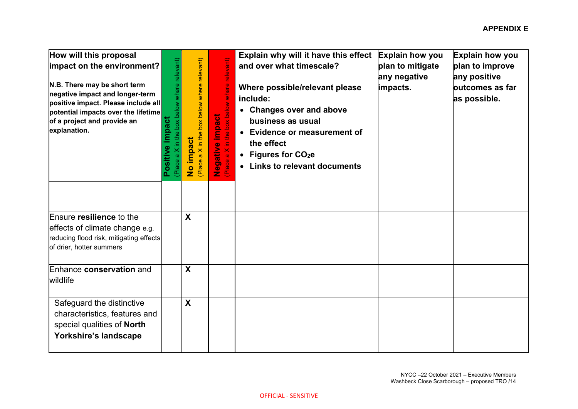| How will this proposal<br>impact on the environment?<br>N.B. There may be short term<br>negative impact and longer-term<br>positive impact. Please include all<br>potential impacts over the lifetime<br>of a project and provide an<br>explanation. | a X in the box below where relevant)<br>impact<br>Positive<br>(Place a | in the box below where relevant)<br>No impact<br>(Place a X in the | relevant)<br>where<br>the box below<br>impact<br>Negative i<br>Place a X in t | Explain why will it have this effect<br>and over what timescale?<br>Where possible/relevant please<br>include:<br>• Changes over and above<br>business as usual<br>• Evidence or measurement of<br>the effect<br>• Figures for CO <sub>2</sub> e<br>• Links to relevant documents | Explain how you<br>plan to mitigate<br>any negative<br>impacts. | Explain how you<br>plan to improve<br>any positive<br>outcomes as far<br>as possible. |
|------------------------------------------------------------------------------------------------------------------------------------------------------------------------------------------------------------------------------------------------------|------------------------------------------------------------------------|--------------------------------------------------------------------|-------------------------------------------------------------------------------|-----------------------------------------------------------------------------------------------------------------------------------------------------------------------------------------------------------------------------------------------------------------------------------|-----------------------------------------------------------------|---------------------------------------------------------------------------------------|
| Ensure resilience to the<br>effects of climate change e.g.<br>reducing flood risk, mitigating effects<br>of drier, hotter summers                                                                                                                    |                                                                        | $\boldsymbol{X}$                                                   |                                                                               |                                                                                                                                                                                                                                                                                   |                                                                 |                                                                                       |
| Enhance conservation and<br>wildlife                                                                                                                                                                                                                 |                                                                        | X                                                                  |                                                                               |                                                                                                                                                                                                                                                                                   |                                                                 |                                                                                       |
| Safeguard the distinctive<br>characteristics, features and<br>special qualities of North<br>Yorkshire's landscape                                                                                                                                    |                                                                        | X                                                                  |                                                                               |                                                                                                                                                                                                                                                                                   |                                                                 |                                                                                       |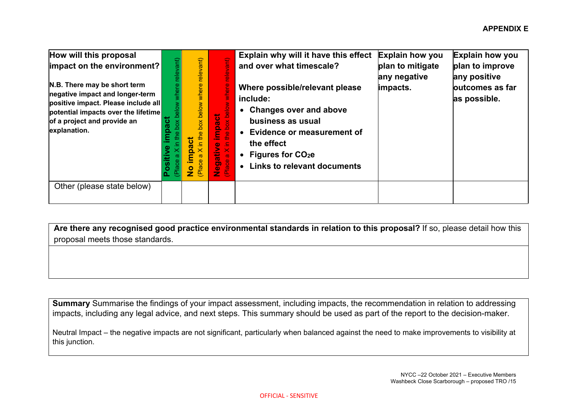| How will this proposal<br>impact on the environment?<br>N.B. There may be short term<br>negative impact and longer-term<br>positive impact. Please include all<br>potential impacts over the lifetime<br>of a project and provide an<br>explanation. | ant)<br>$e$ low<br>ಠ<br>$\pmb{\times}$<br>Ö,<br>Le<br>Place | relevant)<br>where<br>box below<br>the<br>impact<br>$\frac{1}{2}$ | <b>Fire</b><br>ere<br><b>Nole</b><br>impact<br>$\Delta$<br>$\delta$<br>ه<br><u>lej</u><br>Æ<br>Negative<br>$\frac{X}{n}$<br>lace<br>œ | Explain why will it have this effect<br>and over what timescale?<br>Where possible/relevant please<br>include:<br>• Changes over and above<br>business as usual<br>• Evidence or measurement of<br>the effect<br>• Figures for $CO2e$<br>• Links to relevant documents | <b>Explain how you</b><br>plan to mitigate<br>any negative<br>impacts. | <b>Explain how you</b><br>plan to improve<br>any positive<br>outcomes as far<br>as possible. |
|------------------------------------------------------------------------------------------------------------------------------------------------------------------------------------------------------------------------------------------------------|-------------------------------------------------------------|-------------------------------------------------------------------|---------------------------------------------------------------------------------------------------------------------------------------|------------------------------------------------------------------------------------------------------------------------------------------------------------------------------------------------------------------------------------------------------------------------|------------------------------------------------------------------------|----------------------------------------------------------------------------------------------|
| Other (please state below)                                                                                                                                                                                                                           |                                                             |                                                                   |                                                                                                                                       |                                                                                                                                                                                                                                                                        |                                                                        |                                                                                              |

**Are there any recognised good practice environmental standards in relation to this proposal?** If so, please detail how this proposal meets those standards.

**Summary** Summarise the findings of your impact assessment, including impacts, the recommendation in relation to addressing impacts, including any legal advice, and next steps. This summary should be used as part of the report to the decision-maker.

Neutral Impact – the negative impacts are not significant, particularly when balanced against the need to make improvements to visibility at this junction.